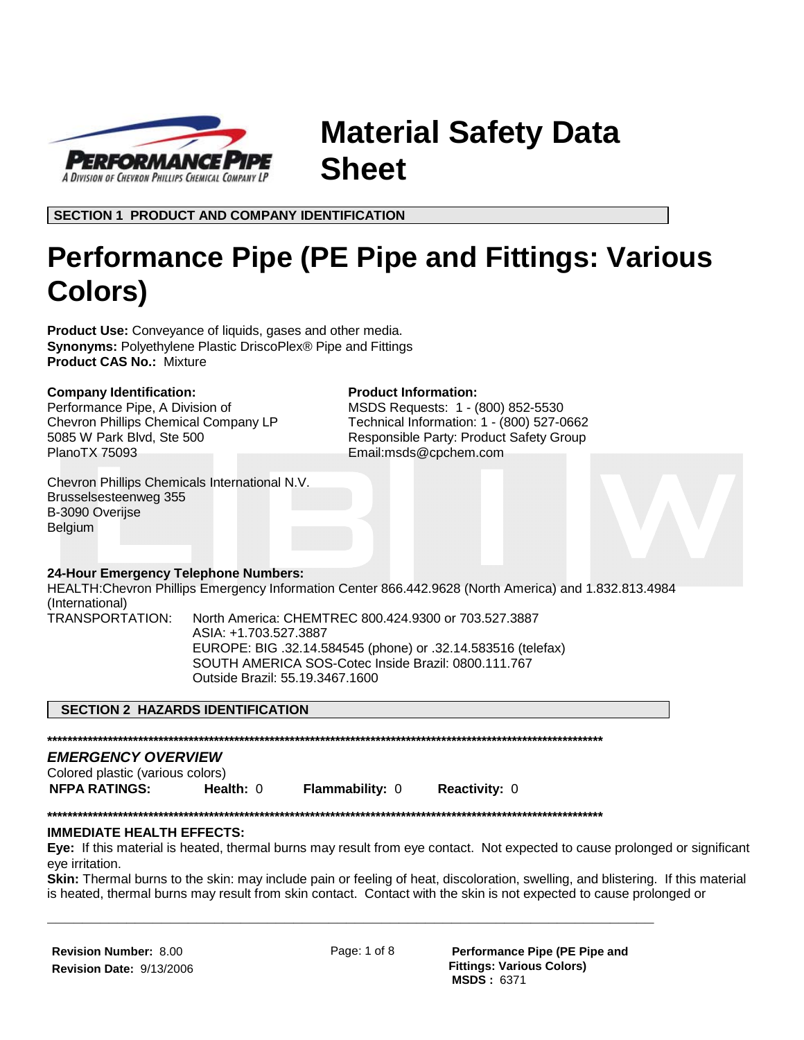

**Material Safety Data Sheet**

**SECTION 1 PRODUCT AND COMPANY IDENTIFICATION**

# **Performance Pipe (PE Pipe and Fittings: Various Colors)**

**Product Information:**

Email:msds@cpchem.com

MSDS Requests: 1 - (800) 852-5530 Technical Information: 1 - (800) 527-0662 Responsible Party: Product Safety Group

**Product Use:** Conveyance of liquids, gases and other media. **Synonyms:** Polyethylene Plastic DriscoPlex® Pipe and Fittings **Product CAS No.:** Mixture

#### **Company Identification:**

Performance Pipe, A Division of Chevron Phillips Chemical Company LP 5085 W Park Blvd, Ste 500 PlanoTX 75093

Chevron Phillips Chemicals International N.V. Brusselsesteenweg 355 B-3090 Overijse Belgium

## **24-Hour Emergency Telephone Numbers:**

HEALTH:Chevron Phillips Emergency Information Center 866.442.9628 (North America) and 1.832.813.4984 (International)

TRANSPORTATION: North America: CHEMTREC 800.424.9300 or 703.527.3887 ASIA: +1.703.527.3887 EUROPE: BIG .32.14.584545 (phone) or .32.14.583516 (telefax) SOUTH AMERICA SOS-Cotec Inside Brazil: 0800.111.767 Outside Brazil: 55.19.3467.1600

## **SECTION 2 HAZARDS IDENTIFICATION**

**\*\*\*\*\*\*\*\*\*\*\*\*\*\*\*\*\*\*\*\*\*\*\*\*\*\*\*\*\*\*\*\*\*\*\*\*\*\*\*\*\*\*\*\*\*\*\*\*\*\*\*\*\*\*\*\*\*\*\*\*\*\*\*\*\*\*\*\*\*\*\*\*\*\*\*\*\*\*\*\*\*\*\*\*\*\*\*\*\*\*\*\*\*\*\*\*\*\*\*\*\*\*\*\*\*\*\*\*\*\***

# *EMERGENCY OVERVIEW*

Colored plastic (various colors)

**NFPA RATINGS: Health:** 0 **Flammability:** 0 **Reactivity:** 0

**\*\*\*\*\*\*\*\*\*\*\*\*\*\*\*\*\*\*\*\*\*\*\*\*\*\*\*\*\*\*\*\*\*\*\*\*\*\*\*\*\*\*\*\*\*\*\*\*\*\*\*\*\*\*\*\*\*\*\*\*\*\*\*\*\*\*\*\*\*\*\*\*\*\*\*\*\*\*\*\*\*\*\*\*\*\*\*\*\*\*\*\*\*\*\*\*\*\*\*\*\*\*\*\*\*\*\*\*\*\***

#### **IMMEDIATE HEALTH EFFECTS:**

**Eye:** If this material is heated, thermal burns may result from eye contact. Not expected to cause prolonged or significant eye irritation.

**Skin:** Thermal burns to the skin: may include pain or feeling of heat, discoloration, swelling, and blistering. If this material is heated, thermal burns may result from skin contact. Contact with the skin is not expected to cause prolonged or

**Revision Number:** 8.00 **Revision Date:** 9/13/2006

**\_\_\_\_\_\_\_\_\_\_\_\_\_\_\_\_\_\_\_\_\_\_\_\_\_\_\_\_\_\_\_\_\_\_\_\_\_\_\_\_\_\_\_\_\_\_\_\_\_\_\_\_\_\_\_\_\_\_\_\_\_\_\_\_\_\_\_\_\_**

Page: 1 of 8 **Performance Pipe (PE Pipe and Fittings: Various Colors) MSDS :** 6371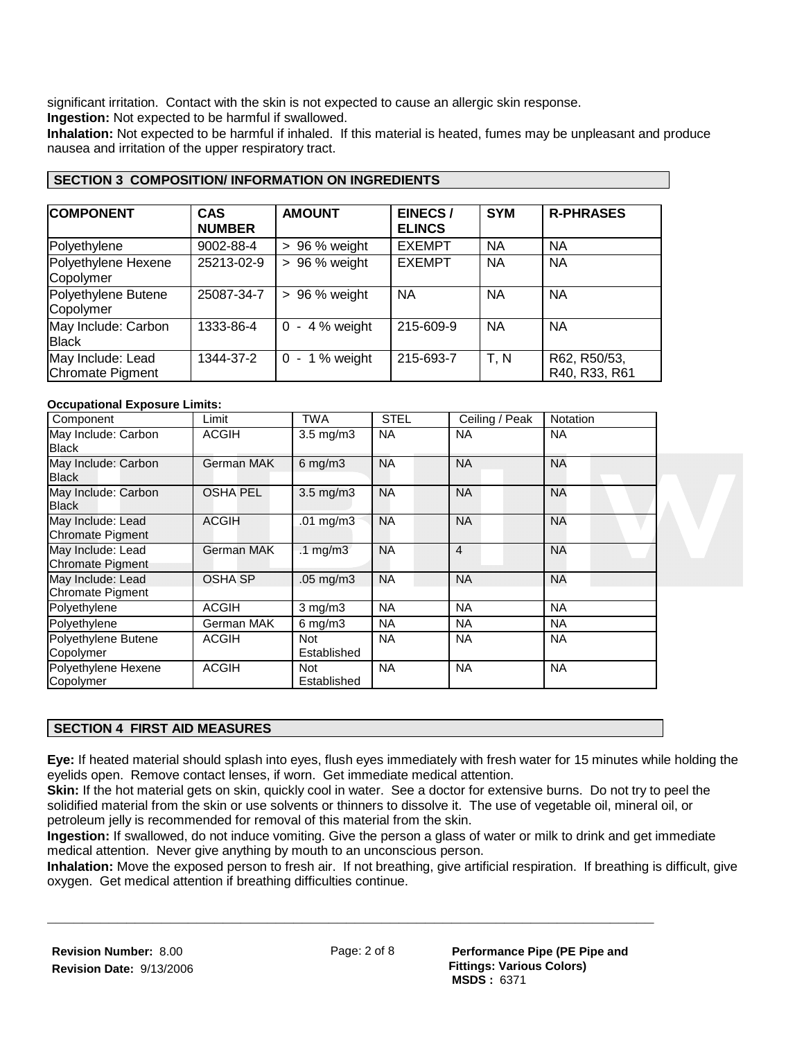significant irritation. Contact with the skin is not expected to cause an allergic skin response.

**Ingestion:** Not expected to be harmful if swallowed.

**Inhalation:** Not expected to be harmful if inhaled. If this material is heated, fumes may be unpleasant and produce nausea and irritation of the upper respiratory tract.

| <b>COMPONENT</b>                      | <b>CAS</b><br><b>NUMBER</b> | <b>AMOUNT</b>            | <b>EINECS/</b><br><b>ELINCS</b> | <b>SYM</b> | <b>R-PHRASES</b>              |
|---------------------------------------|-----------------------------|--------------------------|---------------------------------|------------|-------------------------------|
| Polyethylene                          | 9002-88-4                   | $> 96%$ weight           | <b>EXEMPT</b>                   | <b>NA</b>  | <b>NA</b>                     |
| Polyethylene Hexene<br>Copolymer      | 25213-02-9                  | $> 96%$ weight           | <b>EXEMPT</b>                   | <b>NA</b>  | <b>NA</b>                     |
| Polyethylene Butene<br>Copolymer      | 25087-34-7                  | $> 96%$ weight           | <b>NA</b>                       | <b>NA</b>  | <b>NA</b>                     |
| May Include: Carbon<br><b>Black</b>   | 1333-86-4                   | $-4%$ weight<br>$\Omega$ | 215-609-9                       | <b>NA</b>  | <b>NA</b>                     |
| May Include: Lead<br>Chromate Pigment | 1344-37-2                   | $0 - 1%$ weight          | 215-693-7                       | T, N       | R62, R50/53,<br>R40, R33, R61 |

## **SECTION 3 COMPOSITION/ INFORMATION ON INGREDIENTS**

#### **Occupational Exposure Limits:**

| Component                                    | Limit           | TWA                 | <b>STEL</b> | Ceiling / Peak | <b>Notation</b> |
|----------------------------------------------|-----------------|---------------------|-------------|----------------|-----------------|
| May Include: Carbon<br>Black                 | <b>ACGIH</b>    | $3.5$ mg/m $3$      | <b>NA</b>   | <b>NA</b>      | <b>NA</b>       |
| May Include: Carbon<br>Black                 | German MAK      | $6$ mg/m $3$        | <b>NA</b>   | <b>NA</b>      | <b>NA</b>       |
| May Include: Carbon<br>Black                 | <b>OSHA PEL</b> | $3.5$ mg/m $3$      | <b>NA</b>   | <b>NA</b>      | <b>NA</b>       |
| May Include: Lead<br><b>Chromate Pigment</b> | <b>ACGIH</b>    | .01 $mg/m3$         | <b>NA</b>   | <b>NA</b>      | <b>NA</b>       |
| May Include: Lead<br>Chromate Pigment        | German MAK      | $.1 \text{ mg/m}$ 3 | <b>NA</b>   | $\overline{4}$ | <b>NA</b>       |
| May Include: Lead<br><b>Chromate Pigment</b> | <b>OSHA SP</b>  | $.05$ mg/m $3$      | <b>NA</b>   | <b>NA</b>      | <b>NA</b>       |
| Polyethylene                                 | ACGIH           | $3$ mg/m $3$        | <b>NA</b>   | <b>NA</b>      | <b>NA</b>       |
| Polyethylene                                 | German MAK      | $6$ mg/m $3$        | <b>NA</b>   | <b>NA</b>      | <b>NA</b>       |
| Polyethylene Butene<br>Copolymer             | <b>ACGIH</b>    | Not<br>Established  | <b>NA</b>   | <b>NA</b>      | <b>NA</b>       |
| Polyethylene Hexene<br>Copolymer             | <b>ACGIH</b>    | Not<br>Established  | <b>NA</b>   | <b>NA</b>      | <b>NA</b>       |

## **SECTION 4 FIRST AID MEASURES**

**Eye:** If heated material should splash into eyes, flush eyes immediately with fresh water for 15 minutes while holding the eyelids open. Remove contact lenses, if worn. Get immediate medical attention.

**Skin:** If the hot material gets on skin, quickly cool in water. See a doctor for extensive burns. Do not try to peel the solidified material from the skin or use solvents or thinners to dissolve it. The use of vegetable oil, mineral oil, or petroleum jelly is recommended for removal of this material from the skin.

**Ingestion:** If swallowed, do not induce vomiting. Give the person a glass of water or milk to drink and get immediate medical attention. Never give anything by mouth to an unconscious person.

**Inhalation:** Move the exposed person to fresh air. If not breathing, give artificial respiration. If breathing is difficult, give oxygen. Get medical attention if breathing difficulties continue.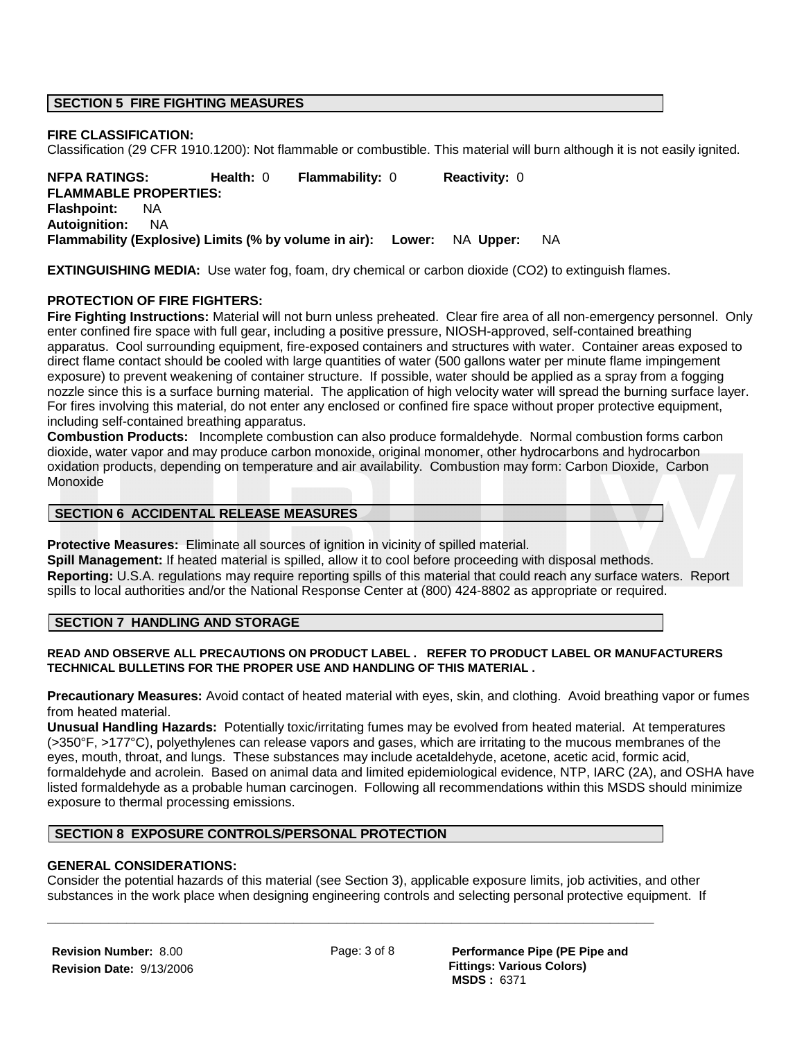### **SECTION 5 FIRE FIGHTING MEASURES**

#### **FIRE CLASSIFICATION:**

Classification (29 CFR 1910.1200): Not flammable or combustible. This material will burn although it is not easily ignited.

**NFPA RATINGS: Health:** 0 **Flammability:** 0 **Reactivity:** 0 **FLAMMABLE PROPERTIES: Flashpoint:** NA **Autoignition:** NA **Flammability (Explosive) Limits (% by volume in air): Lower:** NA **Upper:** NA

**EXTINGUISHING MEDIA:** Use water fog, foam, dry chemical or carbon dioxide (CO2) to extinguish flames.

#### **PROTECTION OF FIRE FIGHTERS:**

**Fire Fighting Instructions:** Material will not burn unless preheated. Clear fire area of all non-emergency personnel. Only enter confined fire space with full gear, including a positive pressure, NIOSH-approved, self-contained breathing apparatus. Cool surrounding equipment, fire-exposed containers and structures with water. Container areas exposed to direct flame contact should be cooled with large quantities of water (500 gallons water per minute flame impingement exposure) to prevent weakening of container structure. If possible, water should be applied as a spray from a fogging nozzle since this is a surface burning material. The application of high velocity water will spread the burning surface layer. For fires involving this material, do not enter any enclosed or confined fire space without proper protective equipment, including self-contained breathing apparatus.

**Combustion Products:** Incomplete combustion can also produce formaldehyde. Normal combustion forms carbon dioxide, water vapor and may produce carbon monoxide, original monomer, other hydrocarbons and hydrocarbon oxidation products, depending on temperature and air availability. Combustion may form: Carbon Dioxide, Carbon Monoxide

#### **SECTION 6 ACCIDENTAL RELEASE MEASURES**

**Protective Measures:** Eliminate all sources of ignition in vicinity of spilled material.

**Spill Management:** If heated material is spilled, allow it to cool before proceeding with disposal methods. **Reporting:** U.S.A. regulations may require reporting spills of this material that could reach any surface waters. Report spills to local authorities and/or the National Response Center at (800) 424-8802 as appropriate or required.

#### **SECTION 7 HANDLING AND STORAGE**

#### **READ AND OBSERVE ALL PRECAUTIONS ON PRODUCT LABEL . REFER TO PRODUCT LABEL OR MANUFACTURERS TECHNICAL BULLETINS FOR THE PROPER USE AND HANDLING OF THIS MATERIAL .**

**Precautionary Measures:** Avoid contact of heated material with eyes, skin, and clothing. Avoid breathing vapor or fumes from heated material.

**Unusual Handling Hazards:** Potentially toxic/irritating fumes may be evolved from heated material. At temperatures (>350°F, >177°C), polyethylenes can release vapors and gases, which are irritating to the mucous membranes of the eyes, mouth, throat, and lungs. These substances may include acetaldehyde, acetone, acetic acid, formic acid, formaldehyde and acrolein. Based on animal data and limited epidemiological evidence, NTP, IARC (2A), and OSHA have listed formaldehyde as a probable human carcinogen. Following all recommendations within this MSDS should minimize exposure to thermal processing emissions.

#### **SECTION 8 EXPOSURE CONTROLS/PERSONAL PROTECTION**

#### **GENERAL CONSIDERATIONS:**

Consider the potential hazards of this material (see Section 3), applicable exposure limits, job activities, and other substances in the work place when designing engineering controls and selecting personal protective equipment. If

**Revision Number:** 8.00 **Revision Date:** 9/13/2006

**\_\_\_\_\_\_\_\_\_\_\_\_\_\_\_\_\_\_\_\_\_\_\_\_\_\_\_\_\_\_\_\_\_\_\_\_\_\_\_\_\_\_\_\_\_\_\_\_\_\_\_\_\_\_\_\_\_\_\_\_\_\_\_\_\_\_\_\_\_**

Page: 3 of 8 **Performance Pipe (PE Pipe and Fittings: Various Colors) MSDS :** 6371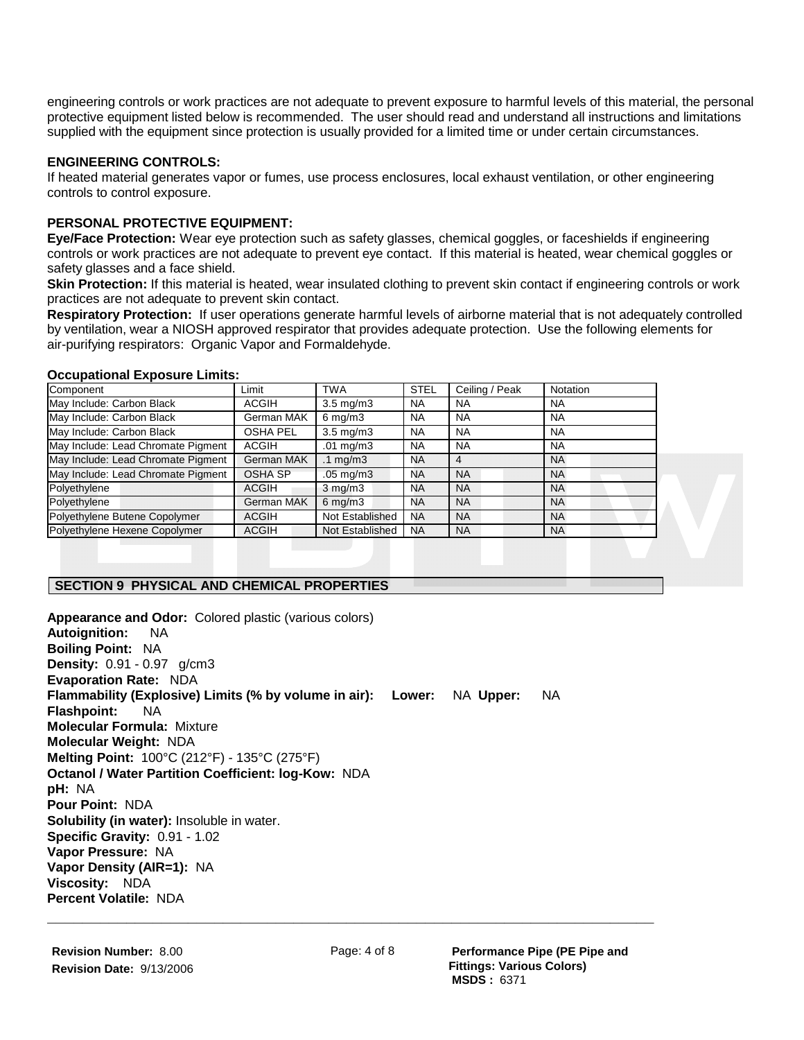engineering controls or work practices are not adequate to prevent exposure to harmful levels of this material, the personal protective equipment listed below is recommended. The user should read and understand all instructions and limitations supplied with the equipment since protection is usually provided for a limited time or under certain circumstances.

## **ENGINEERING CONTROLS:**

If heated material generates vapor or fumes, use process enclosures, local exhaust ventilation, or other engineering controls to control exposure.

## **PERSONAL PROTECTIVE EQUIPMENT:**

**Eye/Face Protection:** Wear eye protection such as safety glasses, chemical goggles, or faceshields if engineering controls or work practices are not adequate to prevent eye contact. If this material is heated, wear chemical goggles or safety glasses and a face shield.

**Skin Protection:** If this material is heated, wear insulated clothing to prevent skin contact if engineering controls or work practices are not adequate to prevent skin contact.

**Respiratory Protection:** If user operations generate harmful levels of airborne material that is not adequately controlled by ventilation, wear a NIOSH approved respirator that provides adequate protection. Use the following elements for air-purifying respirators: Organic Vapor and Formaldehyde.

#### **Occupational Exposure Limits:**

| Component                          | Limit          | <b>TWA</b>           | <b>STEL</b> | Ceiling / Peak | <b>Notation</b> |
|------------------------------------|----------------|----------------------|-------------|----------------|-----------------|
| May Include: Carbon Black          | ACGIH          | $3.5 \text{ mg/m}$   | <b>NA</b>   | <b>NA</b>      | <b>NA</b>       |
| May Include: Carbon Black          | German MAK     | $6 \text{ mg/m}$ 3   | <b>NA</b>   | <b>NA</b>      | <b>NA</b>       |
| May Include: Carbon Black          | OSHA PEL       | $3.5 \text{ mg/m}$   | <b>NA</b>   | <b>NA</b>      | <b>NA</b>       |
| May Include: Lead Chromate Pigment | ACGIH          | $.01 \text{ mg/m}$ 3 | <b>NA</b>   | <b>NA</b>      | <b>NA</b>       |
| May Include: Lead Chromate Pigment | German MAK     | .1 $mq/m3$           | NA          | 4              | <b>NA</b>       |
| May Include: Lead Chromate Pigment | <b>OSHA SP</b> | $.05 \text{ mg/m}$ 3 | <b>NA</b>   | <b>NA</b>      | <b>NA</b>       |
| Polyethylene                       | ACGIH          | $3 \text{ mg/m}$     | NA          | <b>NA</b>      | <b>NA</b>       |
| Polyethylene                       | German MAK     | $6 \text{ mg/m}$ 3   | NA          | <b>NA</b>      | <b>NA</b>       |
| Polyethylene Butene Copolymer      | <b>ACGIH</b>   | Not Established      | <b>NA</b>   | <b>NA</b>      | <b>NA</b>       |
| Polyethylene Hexene Copolymer      | <b>ACGIH</b>   | Not Established      | <b>NA</b>   | <b>NA</b>      | <b>NA</b>       |

# **SECTION 9 PHYSICAL AND CHEMICAL PROPERTIES**

**Appearance and Odor:** Colored plastic (various colors) **Autoignition:** NA **Boiling Point:** NA **Density:** 0.91 - 0.97 g/cm3 **Evaporation Rate:** NDA **Flammability (Explosive) Limits (% by volume in air): Lower:** NA **Upper:** NA **Flashpoint:** NA **Molecular Formula:** Mixture **Molecular Weight:** NDA **Melting Point:** 100°C (212°F) - 135°C (275°F) **Octanol / Water Partition Coefficient: log-Kow:** NDA **pH:** NA **Pour Point:** NDA **Solubility (in water):** Insoluble in water. **Specific Gravity:** 0.91 - 1.02 **Vapor Pressure:** NA **Vapor Density (AIR=1):** NA **Viscosity:** NDA **Percent Volatile:** NDA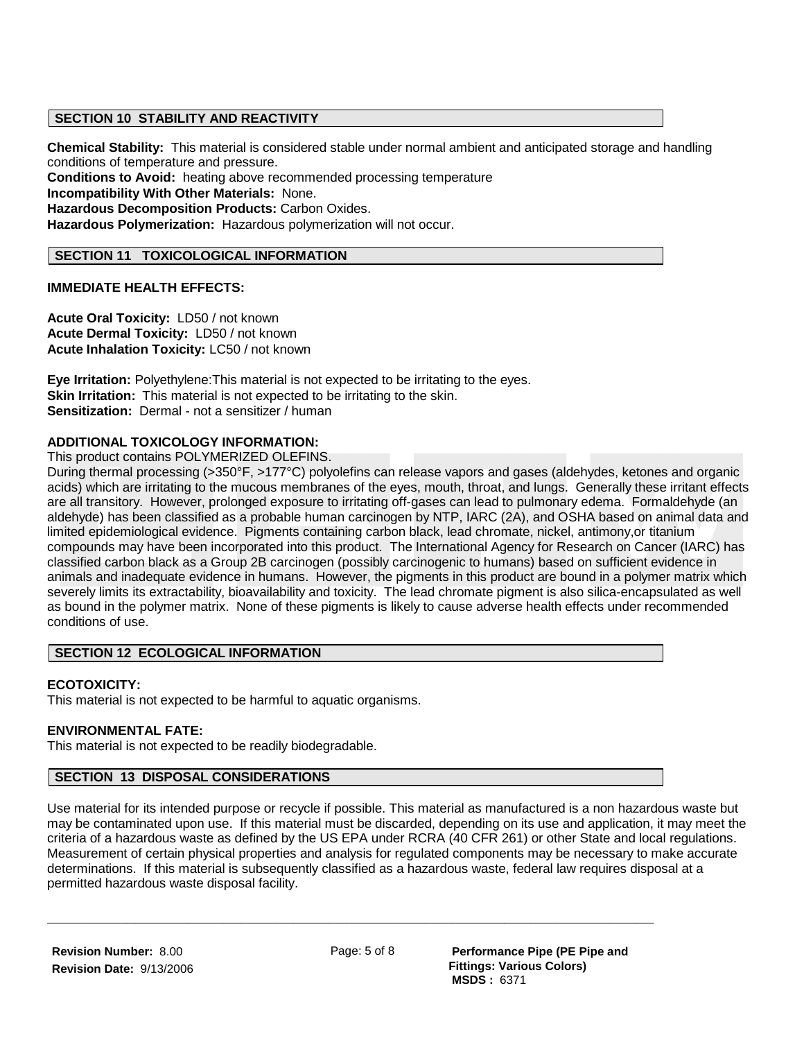## **SECTION 10 STABILITY AND REACTIVITY**

**Chemical Stability:** This material is considered stable under normal ambient and anticipated storage and handling conditions of temperature and pressure.

**Conditions to Avoid:** heating above recommended processing temperature **Incompatibility With Other Materials:** None. **Hazardous Decomposition Products:** Carbon Oxides. **Hazardous Polymerization:** Hazardous polymerization will not occur.

## **SECTION 11 TOXICOLOGICAL INFORMATION**

## **IMMEDIATE HEALTH EFFECTS:**

**Acute Oral Toxicity:** LD50 / not known **Acute Dermal Toxicity:** LD50 / not known **Acute Inhalation Toxicity:** LC50 / not known

**Eye Irritation:** Polyethylene:This material is not expected to be irritating to the eyes. **Skin Irritation:** This material is not expected to be irritating to the skin. **Sensitization:** Dermal - not a sensitizer / human

## **ADDITIONAL TOXICOLOGY INFORMATION:**

This product contains POLYMERIZED OLEFINS.

During thermal processing (>350°F, >177°C) polyolefins can release vapors and gases (aldehydes, ketones and organic acids) which are irritating to the mucous membranes of the eyes, mouth, throat, and lungs. Generally these irritant effects are all transitory. However, prolonged exposure to irritating off-gases can lead to pulmonary edema. Formaldehyde (an aldehyde) has been classified as a probable human carcinogen by NTP, IARC (2A), and OSHA based on animal data and limited epidemiological evidence. Pigments containing carbon black, lead chromate, nickel, antimony,or titanium compounds may have been incorporated into this product. The International Agency for Research on Cancer (IARC) has classified carbon black as a Group 2B carcinogen (possibly carcinogenic to humans) based on sufficient evidence in animals and inadequate evidence in humans. However, the pigments in this product are bound in a polymer matrix which severely limits its extractability, bioavailability and toxicity. The lead chromate pigment is also silica-encapsulated as well as bound in the polymer matrix. None of these pigments is likely to cause adverse health effects under recommended conditions of use.

## **SECTION 12 ECOLOGICAL INFORMATION**

## **ECOTOXICITY:**

This material is not expected to be harmful to aquatic organisms.

#### **ENVIRONMENTAL FATE:**

This material is not expected to be readily biodegradable.

## **SECTION 13 DISPOSAL CONSIDERATIONS**

Use material for its intended purpose or recycle if possible. This material as manufactured is a non hazardous waste but may be contaminated upon use. If this material must be discarded, depending on its use and application, it may meet the criteria of a hazardous waste as defined by the US EPA under RCRA (40 CFR 261) or other State and local regulations. Measurement of certain physical properties and analysis for regulated components may be necessary to make accurate determinations. If this material is subsequently classified as a hazardous waste, federal law requires disposal at a permitted hazardous waste disposal facility.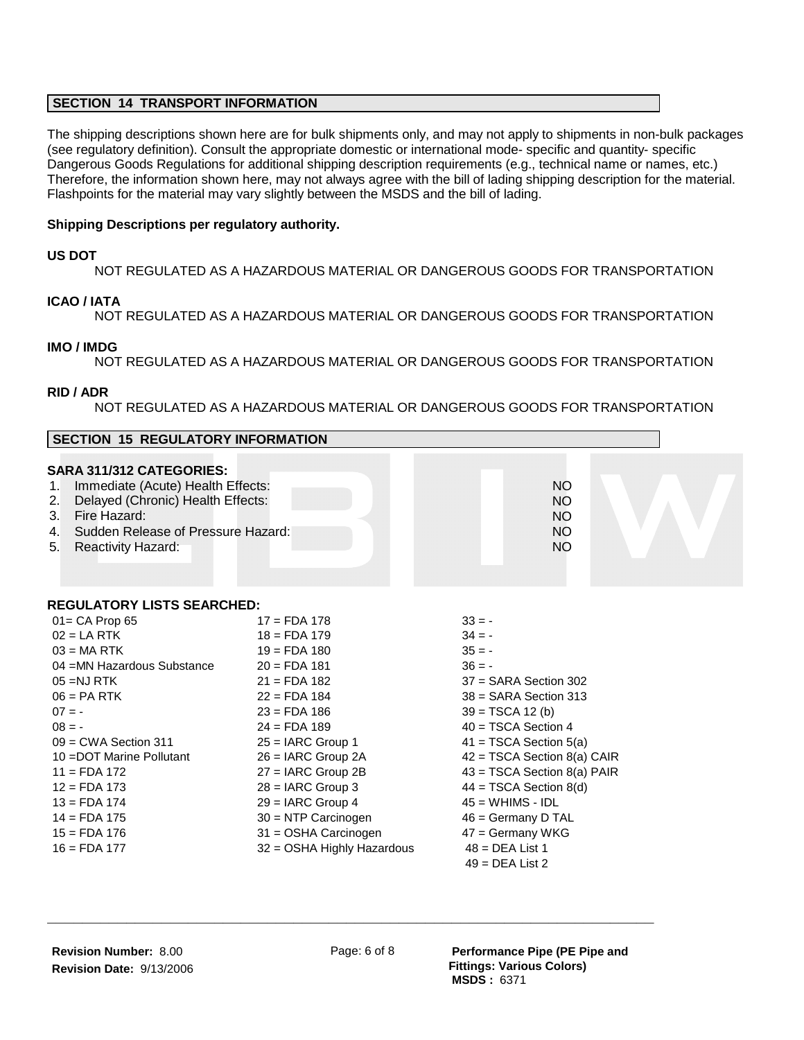## **SECTION 14 TRANSPORT INFORMATION**

The shipping descriptions shown here are for bulk shipments only, and may not apply to shipments in non-bulk packages (see regulatory definition). Consult the appropriate domestic or international mode- specific and quantity- specific Dangerous Goods Regulations for additional shipping description requirements (e.g., technical name or names, etc.) Therefore, the information shown here, may not always agree with the bill of lading shipping description for the material. Flashpoints for the material may vary slightly between the MSDS and the bill of lading.

## **Shipping Descriptions per regulatory authority.**

### **US DOT**

NOT REGULATED AS A HAZARDOUS MATERIAL OR DANGEROUS GOODS FOR TRANSPORTATION

#### **ICAO / IATA**

NOT REGULATED AS A HAZARDOUS MATERIAL OR DANGEROUS GOODS FOR TRANSPORTATION

#### **IMO / IMDG**

NOT REGULATED AS A HAZARDOUS MATERIAL OR DANGEROUS GOODS FOR TRANSPORTATION

#### **RID / ADR**

NOT REGULATED AS A HAZARDOUS MATERIAL OR DANGEROUS GOODS FOR TRANSPORTATION

| <b>SECTION 15 REGULATORY INFORMATION</b>                                                                                                                                                                                                                                                                        |                                                                                                                                                                                                                                                                                                                                                  |                                                                                                                                                                                                                                                                                                                                                                                   |  |  |  |  |
|-----------------------------------------------------------------------------------------------------------------------------------------------------------------------------------------------------------------------------------------------------------------------------------------------------------------|--------------------------------------------------------------------------------------------------------------------------------------------------------------------------------------------------------------------------------------------------------------------------------------------------------------------------------------------------|-----------------------------------------------------------------------------------------------------------------------------------------------------------------------------------------------------------------------------------------------------------------------------------------------------------------------------------------------------------------------------------|--|--|--|--|
| SARA 311/312 CATEGORIES:<br>Immediate (Acute) Health Effects:<br>1.<br>Delayed (Chronic) Health Effects:<br>2.<br>Fire Hazard:<br>3.<br>Sudden Release of Pressure Hazard:<br>4.<br>Reactivity Hazard:<br>5.                                                                                                    |                                                                                                                                                                                                                                                                                                                                                  | <b>NO</b><br>NO <sub>1</sub><br><b>NO</b><br>NO <sub>1</sub><br><b>NO</b>                                                                                                                                                                                                                                                                                                         |  |  |  |  |
| <b>REGULATORY LISTS SEARCHED:</b>                                                                                                                                                                                                                                                                               |                                                                                                                                                                                                                                                                                                                                                  |                                                                                                                                                                                                                                                                                                                                                                                   |  |  |  |  |
| $01 = CA$ Prop 65<br>$02 = LA RTK$<br>$03 = MA$ RTK<br>04 = MN Hazardous Substance<br>$05 = NJ$ RTK<br>$06 = PA$ RTK<br>$07 = -$<br>$08 = -$<br>$09 = CWA$ Section 311<br>10 = DOT Marine Pollutant<br>$11 = FDA 172$<br>$12 = FDA 173$<br>$13 = FDA 174$<br>$14 = FDA 175$<br>$15 = FDA 176$<br>$16 = FDA 177$ | $17 =$ FDA 178<br>$18 =$ FDA 179<br>$19 =$ FDA 180<br>$20 = FDA 181$<br>$21 = FDA 182$<br>$22 = FDA 184$<br>$23 = FDA 186$<br>$24 = FDA 189$<br>$25 = IARC$ Group 1<br>$26 = IARC$ Group $2A$<br>$27 = IARC$ Group 2B<br>$28 = IARC$ Group 3<br>$29 = IARC$ Group 4<br>30 = NTP Carcinogen<br>31 = OSHA Carcinogen<br>32 = OSHA Highly Hazardous | $33 = -$<br>$34 = -$<br>$35 = -$<br>$36 = -$<br>$37 = SARA Section 302$<br>$38 =$ SARA Section 313<br>$39 = TSCA 12 (b)$<br>$40 = TSCA Section 4$<br>$41 = TSCA Section 5(a)$<br>42 = TSCA Section 8(a) CAIR<br>43 = TSCA Section 8(a) PAIR<br>$44 = TSCA Section 8(d)$<br>$45 = WHIMS - IDL$<br>46 = Germany D TAL<br>47 = Germany WKG<br>$48 = DEA List 1$<br>$49 = DEA List 2$ |  |  |  |  |

**\_\_\_\_\_\_\_\_\_\_\_\_\_\_\_\_\_\_\_\_\_\_\_\_\_\_\_\_\_\_\_\_\_\_\_\_\_\_\_\_\_\_\_\_\_\_\_\_\_\_\_\_\_\_\_\_\_\_\_\_\_\_\_\_\_\_\_\_\_**

Page: 6 of 8 **Performance Pipe (PE Pipe and Fittings: Various Colors) MSDS :** 6371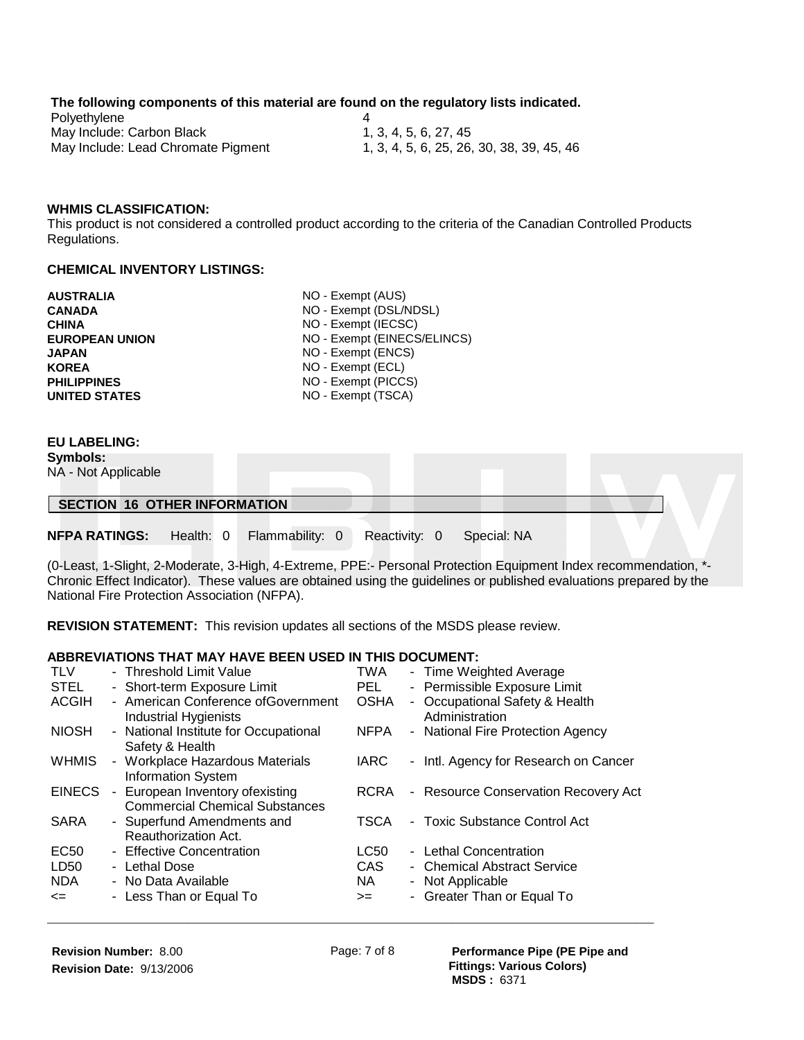#### **The following components of this material are found on the regulatory lists indicated.**

| Polyethylene                       |                                           |
|------------------------------------|-------------------------------------------|
| May Include: Carbon Black          | 1, 3, 4, 5, 6, 27, 45                     |
| May Include: Lead Chromate Pigment | 1, 3, 4, 5, 6, 25, 26, 30, 38, 39, 45, 46 |

#### **WHMIS CLASSIFICATION:**

This product is not considered a controlled product according to the criteria of the Canadian Controlled Products Regulations.

#### **CHEMICAL INVENTORY LISTINGS:**

| <b>AUSTRALIA</b>      | NO - Exempt (AUS)           |
|-----------------------|-----------------------------|
| <b>CANADA</b>         | NO - Exempt (DSL/NDSL)      |
| <b>CHINA</b>          | NO - Exempt (IECSC)         |
| <b>EUROPEAN UNION</b> | NO - Exempt (EINECS/ELINCS) |
| <b>JAPAN</b>          | NO - Exempt (ENCS)          |
| <b>KOREA</b>          | NO - Exempt (ECL)           |
| <b>PHILIPPINES</b>    | NO - Exempt (PICCS)         |
| <b>UNITED STATES</b>  | NO - Exempt (TSCA)          |
|                       |                             |

## **EU LABELING:**

**Symbols:** 

NA - Not Applicable

#### **SECTION 16 OTHER INFORMATION**

**NFPA RATINGS:** Health: 0 Flammability: 0 Reactivity: 0 Special: NA

(0-Least, 1-Slight, 2-Moderate, 3-High, 4-Extreme, PPE:- Personal Protection Equipment Index recommendation, \*- Chronic Effect Indicator). These values are obtained using the guidelines or published evaluations prepared by the National Fire Protection Association (NFPA).

**REVISION STATEMENT:** This revision updates all sections of the MSDS please review.

## **ABBREVIATIONS THAT MAY HAVE BEEN USED IN THIS DOCUMENT:**

| <b>TLV</b>       | - Threshold Limit Value                                                  | TWA         | - Time Weighted Average                          |
|------------------|--------------------------------------------------------------------------|-------------|--------------------------------------------------|
| <b>STEL</b>      | - Short-term Exposure Limit                                              | PEL.        | - Permissible Exposure Limit                     |
| <b>ACGIH</b>     | - American Conference ofGovernment<br>Industrial Hygienists              | <b>OSHA</b> | - Occupational Safety & Health<br>Administration |
| <b>NIOSH</b>     | - National Institute for Occupational<br>Safety & Health                 | <b>NFPA</b> | - National Fire Protection Agency                |
| <b>WHMIS</b>     | - Workplace Hazardous Materials<br><b>Information System</b>             | <b>IARC</b> | - Intl. Agency for Research on Cancer            |
| <b>EINECS</b>    | - European Inventory ofexisting<br><b>Commercial Chemical Substances</b> | <b>RCRA</b> | - Resource Conservation Recovery Act             |
| <b>SARA</b>      | - Superfund Amendments and<br>Reauthorization Act.                       | <b>TSCA</b> | - Toxic Substance Control Act                    |
| EC <sub>50</sub> | - Effective Concentration                                                | LC50        | - Lethal Concentration                           |
| LD50             | - Lethal Dose                                                            | <b>CAS</b>  | - Chemical Abstract Service                      |
| <b>NDA</b>       | - No Data Available                                                      | NA.         | - Not Applicable                                 |
| $\leq$           | - Less Than or Equal To                                                  | $>=$        | - Greater Than or Equal To                       |
|                  |                                                                          |             |                                                  |